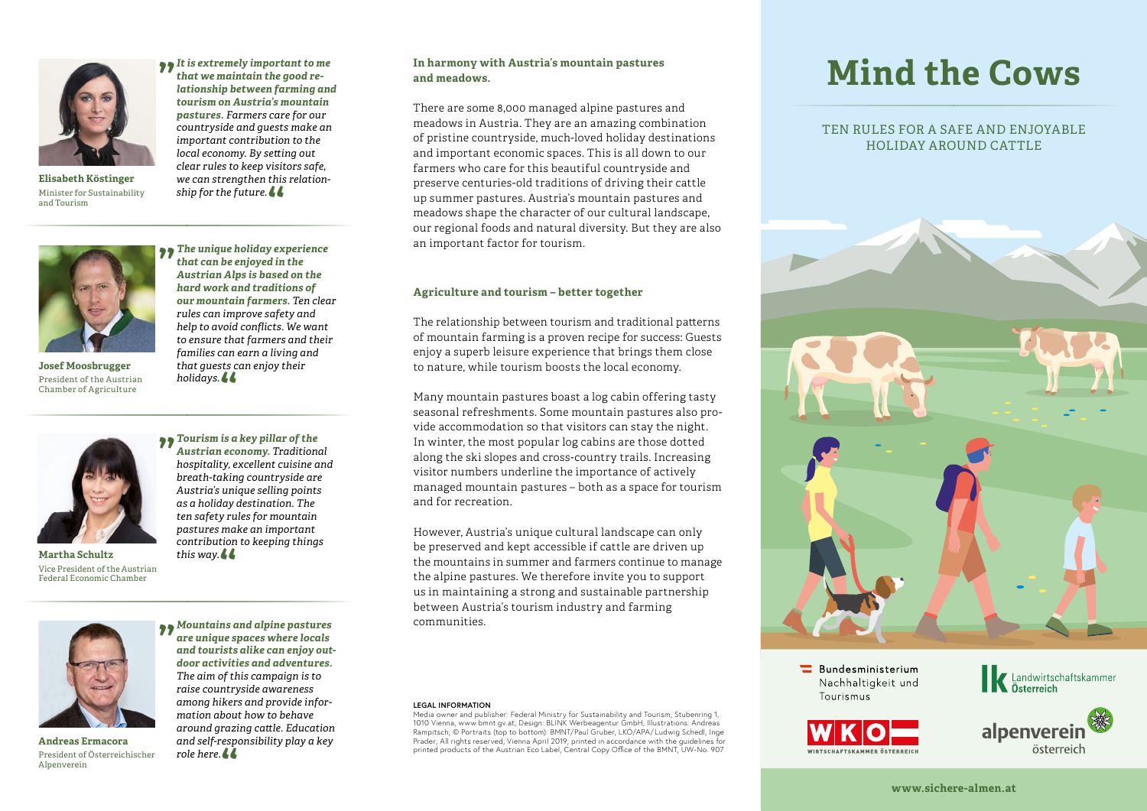

**Elisabeth Köstinger**  Minister for Sustainability and Tourism



**Josef Moosbrugger**  President of the Austrian Chamber of Agriculture

*The unique holiday experience*<br>that can be enjoved in the *that can be enjoyed in the Austrian Alps is based on the hard work and traditions of our mountain farmers. Ten clear rules can improve safety and help to avoid conflicts. We want to ensure that farmers and their families can earn a living and that guests can enjoy their holidays.*  "

"*It is extremely important to me that we maintain the good relationship between farming and tourism on Austria's mountain pastures. Farmers care for our countryside and guests make an important contribution to the local economy. By setting out clear rules to keep visitors safe, we can strengthen this relation*ship for the future.  $\clubsuit\clubsuit$ 



*Tourism is a key pillar of the*  " *Austrian economy. Traditional hospitality, excellent cuisine and breath-taking countryside are Austria's unique selling points as a holiday destination. The ten safety rules for mountain pastures make an important contribution to keeping things this way.*  "

**Martha Schultz**  Vice President of the Austrian Federal Economic Chamber



**Andreas Ermacora**  President of Österreichischer Alpenverein

*Mountains and alpine pastures are unique spaces where locals and tourists alike can enjoy outdoor activities and adventures. The aim of this campaign is to raise countryside awareness among hikers and provide information about how to behave around grazing cattle. Education and self-responsibility play a key role here.*  " "<br>"

# **In harmony with Austria's mountain pastures and meadows.**

There are some 8,000 managed alpine pastures and meadows in Austria. They are an amazing combination of pristine countryside, much-loved holiday destinations and important economic spaces. This is all down to our farmers who care for this beautiful countryside and preserve centuries-old traditions of driving their cattle up summer pastures. Austria's mountain pastures and meadows shape the character of our cultural landscape, our regional foods and natural diversity. But they are also an important factor for tourism.

### **Agriculture and tourism – better together**

The relationship between tourism and traditional patterns of mountain farming is a proven recipe for success: Guests enjoy a superb leisure experience that brings them close to nature, while tourism boosts the local economy.

Many mountain pastures boast a log cabin offering tasty seasonal refreshments. Some mountain pastures also provide accommodation so that visitors can stay the night. In winter, the most popular log cabins are those dotted along the ski slopes and cross-country trails. Increasing visitor numbers underline the importance of actively managed mountain pastures – both as a space for tourism and for recreation.

However, Austria's unique cultural landscape can only be preserved and kept accessible if cattle are driven up the mountains in summer and farmers continue to manage the alpine pastures. We therefore invite you to support us in maintaining a strong and sustainable partnership between Austria's tourism industry and farming communities.

#### **LEGAL INFORMATION**

Media owner and publisher: Federal Ministry for Sustainability and Tourism, Stubenring 1, 1010 Vienna, www.bmnt.gv.at; Design: BLINK Werbeagentur GmbH; Illustrations: Andreas Rampitsch; © Portraits (top to bottom): BMNT/Paul Gruber, LKÖ/APA/ Ludwig Schedl, Inge Prader; All rights reserved; Vienna April 2019; printed in accordance with the guidelines for printed products of the Austrian Eco Label, Central Copy Office of the BMNT, UW-No. 907

# **Mind the Cows**

# TEN RULES FOR A SAFE AND ENJOYABLE HOLIDAY AROUND CATTLE



Bundesministerium Nachhaltigkeit und Tourismus







## **[www.sichere-almen.at](https://www.sichere-almen.at/?)**